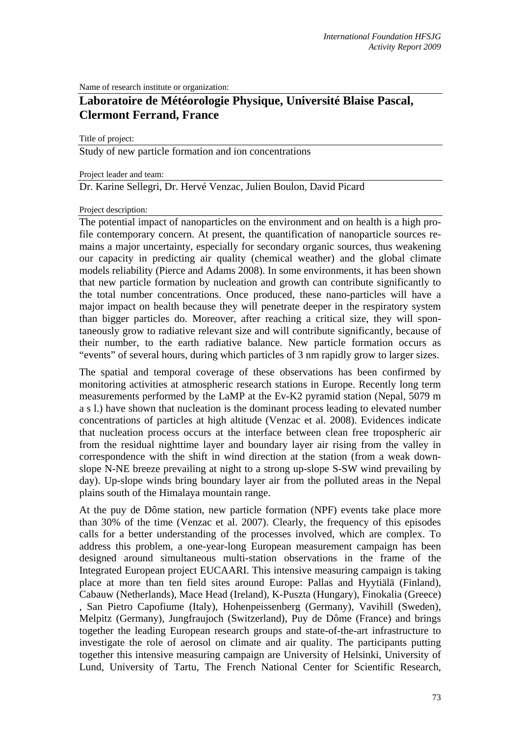Name of research institute or organization:

## **Laboratoire de Météorologie Physique, Université Blaise Pascal, Clermont Ferrand, France**

Title of project:

Study of new particle formation and ion concentrations

Project leader and team:

Dr. Karine Sellegri, Dr. Hervé Venzac, Julien Boulon, David Picard

## Project description:

The potential impact of nanoparticles on the environment and on health is a high profile contemporary concern. At present, the quantification of nanoparticle sources remains a major uncertainty, especially for secondary organic sources, thus weakening our capacity in predicting air quality (chemical weather) and the global climate models reliability (Pierce and Adams 2008). In some environments, it has been shown that new particle formation by nucleation and growth can contribute significantly to the total number concentrations. Once produced, these nano-particles will have a major impact on health because they will penetrate deeper in the respiratory system than bigger particles do. Moreover, after reaching a critical size, they will spontaneously grow to radiative relevant size and will contribute significantly, because of their number, to the earth radiative balance. New particle formation occurs as "events" of several hours, during which particles of 3 nm rapidly grow to larger sizes.

The spatial and temporal coverage of these observations has been confirmed by monitoring activities at atmospheric research stations in Europe. Recently long term measurements performed by the LaMP at the Ev-K2 pyramid station (Nepal, 5079 m a s l.) have shown that nucleation is the dominant process leading to elevated number concentrations of particles at high altitude (Venzac et al. 2008). Evidences indicate that nucleation process occurs at the interface between clean free tropospheric air from the residual nighttime layer and boundary layer air rising from the valley in correspondence with the shift in wind direction at the station (from a weak downslope N-NE breeze prevailing at night to a strong up-slope S-SW wind prevailing by day). Up-slope winds bring boundary layer air from the polluted areas in the Nepal plains south of the Himalaya mountain range.

At the puy de Dôme station, new particle formation (NPF) events take place more than 30% of the time (Venzac et al. 2007). Clearly, the frequency of this episodes calls for a better understanding of the processes involved, which are complex. To address this problem, a one-year-long European measurement campaign has been designed around simultaneous multi-station observations in the frame of the Integrated European project EUCAARI. This intensive measuring campaign is taking place at more than ten field sites around Europe: Pallas and Hyytiälä (Finland), Cabauw (Netherlands), Mace Head (Ireland), K-Puszta (Hungary), Finokalia (Greece) , San Pietro Capofiume (Italy), Hohenpeissenberg (Germany), Vavihill (Sweden), Melpitz (Germany), Jungfraujoch (Switzerland), Puy de Dôme (France) and brings together the leading European research groups and state-of-the-art infrastructure to investigate the role of aerosol on climate and air quality. The participants putting together this intensive measuring campaign are University of Helsinki, University of Lund, University of Tartu, The French National Center for Scientific Research,